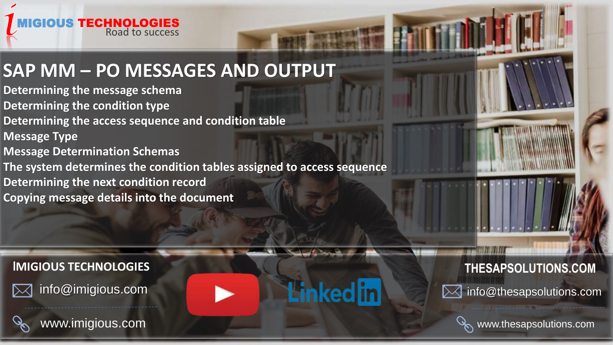

## **SAP MM – PO MESSAGES AND OUTPUT**

**Determining the message schema Determining the condition type Determining the access sequence and condition table Message Type**

**Message Determination Schemas**

**The system determines the condition tables assigned to access sequence**

**Determining the next condition record**

**Copying message details into the document** 

### **I[MIGIOUS TECHNOLOGIES](http://www.thesapsolutions.com/) THESAPSOLUTIONS.COM**

info@imigious.com



www.imigious.com





www.thesapsolutions.com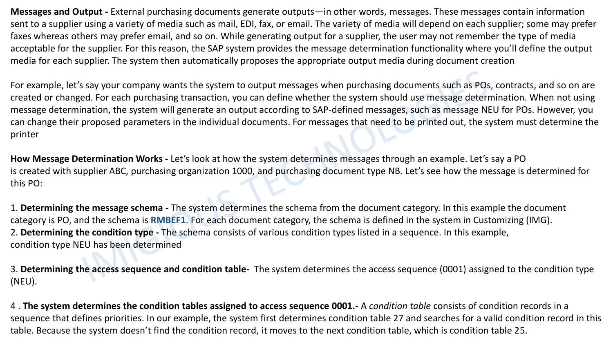**Messages and Output -** External purchasing documents generate outputs—in other words, messages. These messages contain information sent to a supplier using a variety of media such as mail, EDI, fax, or email. The variety of media will depend on each supplier; some may prefer faxes whereas others may prefer email, and so on. While generating output for a supplier, the user may not remember the type of media acceptable for the supplier. For this reason, the SAP system provides the message determination functionality where you'll define the output media for each supplier. The system then automatically proposes the appropriate output media during document creation

For example, let's say your company wants the system to output messages when purchasing documents such as POs, contracts, and so on are created or changed. For each purchasing transaction, you can define whether the system should use message determination. When not using message determination, the system will generate an output according to SAP-defined messages, such as message NEU for POs. However, you can change their proposed parameters in the individual documents. For messages that need to be printed out, the system must determine the printer

**How Message Determination Works -** Let's look at how the system determines messages through an example. Let's say a PO is created with supplier ABC, purchasing organization 1000, and purchasing document type NB. Let's see how the message is determined for this PO:

1. **Determining the message schema -** The system determines the schema from the document category. In this example the document category is PO, and the schema is **RMBEF1**. For each document category, the schema is defined in the system in Customizing (IMG). 2. **Determining the condition type -** The schema consists of various condition types listed in a sequence. In this example, condition type NEU has been determined

3. **Determining the access sequence and condition table-** The system determines the access sequence (0001) assigned to the condition type (NEU).

4 . **The system determines the condition tables assigned to access sequence 0001.-** A *condition table* consists of condition records in a sequence that defines priorities. In our example, the system first determines condition table 27 and searches for a valid condition record in this table. Because the system doesn't find the condition record, it moves to the next condition table, which is condition table 25.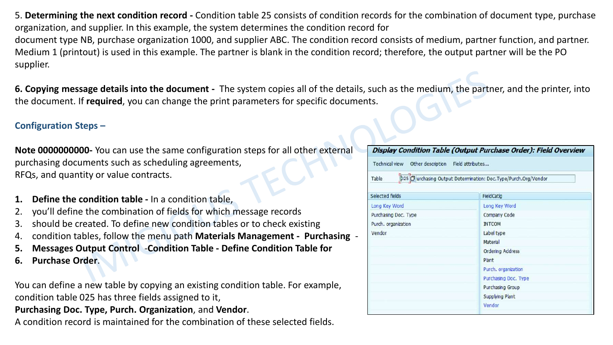5. **Determining the next condition record -** Condition table 25 consists of condition records for the combination of document type, purchase organization, and supplier. In this example, the system determines the condition record for document type NB, purchase organization 1000, and supplier ABC. The condition record consists of medium, partner function, and partner. Medium 1 (printout) is used in this example. The partner is blank in the condition record; therefore, the output partner will be the PO supplier.

**6. Copying message details into the document -** The system copies all of the details, such as the medium, the partner, and the printer, into the document. If **required**, you can change the print parameters for specific documents.

#### **Configuration Steps –**

**Note 0000000000-** You can use the same configuration steps for all other external purchasing documents such as scheduling agreements, RFQs, and quantity or value contracts.

- **1. Define the condition table -** In a condition table,
- 2. you'll define the combination of fields for which message records
- 3. should be created. To define new condition tables or to check existing
- 4. condition tables, follow the menu path **Materials Management - Purchasing** -
- **5. Messages Output Control** -**Condition Table - Define Condition Table for**
- **6. Purchase Order**.

You can define a new table by copying an existing condition table. For example, condition table 025 has three fields assigned to it,

#### **Purchasing Doc. Type, Purch. Organization**, and **Vendor**.

A condition record is maintained for the combination of these selected fields.

| Technical view Other description | Field attributes                                                 |
|----------------------------------|------------------------------------------------------------------|
| Table                            | p25 D urchasing Output Determination: Doc. Type/Purch.Org/Vendor |
| Selected fields                  | FieldCatlg                                                       |
| Long Key Word                    | Long Key Word                                                    |
| Purchasing Doc. Type             | Company Code                                                     |
| Purch. organization              | <b>INTCOM</b>                                                    |
| Vendor                           | Label type                                                       |
|                                  | Material                                                         |
|                                  | <b>Ordering Address</b>                                          |
|                                  | Plant                                                            |
|                                  | Purch. organization                                              |
|                                  | Purchasing Doc. Type                                             |
|                                  | Purchasing Group                                                 |
|                                  | <b>Supplying Plant</b>                                           |
|                                  | Vendor                                                           |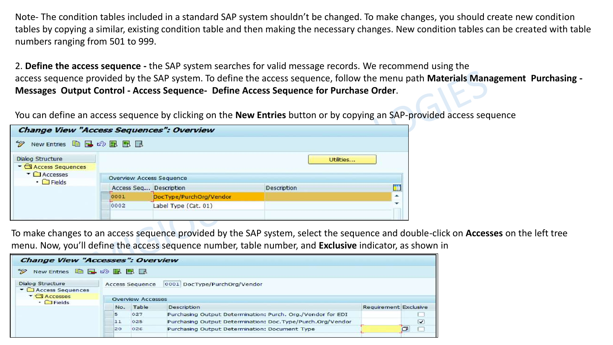Note- The condition tables included in a standard SAP system shouldn't be changed. To make changes, you should create new condition tables by copying a similar, existing condition table and then making the necessary changes. New condition tables can be created with table numbers ranging from 501 to 999.

2. **Define the access sequence -** the SAP system searches for valid message records. We recommend using the access sequence provided by the SAP system. To define the access sequence, follow the menu path **Materials Management Purchasing - Messages Output Control - Access Sequence- Define Access Sequence for Purchase Order**.

You can define an access sequence by clicking on the **New Entries** button or by copying an SAP-provided access sequence

| <b>Change View "Access Sequences": Overview</b>        |                          |                         |             |     |
|--------------------------------------------------------|--------------------------|-------------------------|-------------|-----|
| New Entries <b>自己</b> 公民民民<br>$\mathscr{D}$            |                          |                         |             |     |
| <b>Dialog Structure</b><br>▼ <b>C</b> Access Sequences |                          |                         | Utilities   |     |
| $\bullet$ $\Box$ Accesses<br>$\cdot$ $\Box$ Fields     | Overview Access Sequence |                         |             |     |
|                                                        | Access Seq Description   |                         | Description | ÖI. |
|                                                        | 0001                     | DocType/PurchOrg/Vendor |             | ٠   |
|                                                        | 0002                     | Label Type (Cat. 01)    |             |     |
|                                                        |                          |                         |             |     |

To make changes to an access sequence provided by the SAP system, select the sequence and double-click on **Accesses** on the left tree menu. Now, you'll define the access sequence number, table number, and **Exclusive** indicator, as shown in

| <b>Change View "Accesses": Overview</b>                                  |     |                          |                                                             |                              |
|--------------------------------------------------------------------------|-----|--------------------------|-------------------------------------------------------------|------------------------------|
| ジア<br>New Entries 中日の風風風                                                 |     |                          |                                                             |                              |
| <b>Dialog Structure</b><br>$\blacktriangleright$ $\Box$ Access Sequences |     | <b>Access Sequence</b>   | 0001 DocType/PurchOrg/Vendor                                |                              |
| $\blacktriangleright$ $\bigcirc$ Accesses<br>$\cdot$ $\Box$ Fields       |     | <b>Overview Accesses</b> |                                                             |                              |
|                                                                          | No. | Table                    | Description                                                 | <b>Requirement Exclusive</b> |
|                                                                          | 5   | 027                      | Purchasing Output Determination: Purch. Org./Vendor for EDI |                              |
|                                                                          | 11  | 025                      | Purchasing Output Determination: Doc. Type/Purch.Org/Vendor | $\overline{\mathbf{v}}$      |
|                                                                          | 20  | 026                      | Purchasing Output Determination: Document Type              |                              |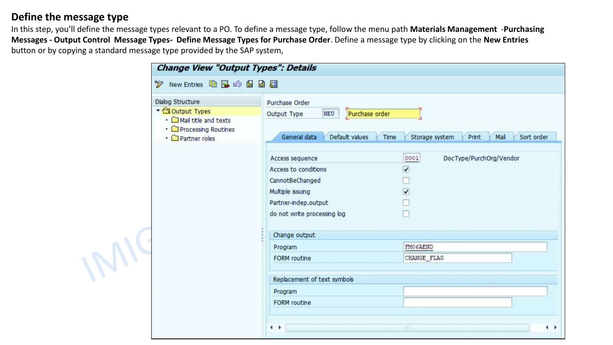#### **Define the message type**

IMIC

In this step, you'll define the message types relevant to a PO. To define a message type, follow the menu path **Materials Management** -**Purchasing Messages - Output Control Message Types- Define Message Types for Purchase Order**. Define a message type by clicking on the **New Entries**  button or by copying a standard message type provided by the SAP system,

| Dialog Structure                                                       | Purchase Order                                      |                                               |  |  |  |  |  |  |  |
|------------------------------------------------------------------------|-----------------------------------------------------|-----------------------------------------------|--|--|--|--|--|--|--|
| Output Types                                                           | Purchase order<br>NEU<br>Output Type                |                                               |  |  |  |  |  |  |  |
| • I Mail title and texts<br>• O Processing Routines<br>• Partner roles | General data<br>Default values<br>Time              | Storage system<br>Print<br>Mail<br>Sort order |  |  |  |  |  |  |  |
|                                                                        | 0001<br>Access sequence                             | DocType/PurchOrg/Vendor                       |  |  |  |  |  |  |  |
|                                                                        | Access to conditions<br>⊽                           |                                               |  |  |  |  |  |  |  |
|                                                                        | CannotBeChanged                                     |                                               |  |  |  |  |  |  |  |
|                                                                        | Multiple issuing<br>$\overline{\blacktriangledown}$ |                                               |  |  |  |  |  |  |  |
|                                                                        | Partner-indep.output                                |                                               |  |  |  |  |  |  |  |
|                                                                        | do not write processing log                         |                                               |  |  |  |  |  |  |  |
|                                                                        | Change output                                       |                                               |  |  |  |  |  |  |  |
|                                                                        | Program                                             | FMO6AEND                                      |  |  |  |  |  |  |  |
|                                                                        | <b>FORM</b> routine                                 | CHANGE FLAG                                   |  |  |  |  |  |  |  |
|                                                                        | Replacement of text symbols                         |                                               |  |  |  |  |  |  |  |
|                                                                        | Program                                             |                                               |  |  |  |  |  |  |  |
|                                                                        | <b>FORM</b> routine                                 |                                               |  |  |  |  |  |  |  |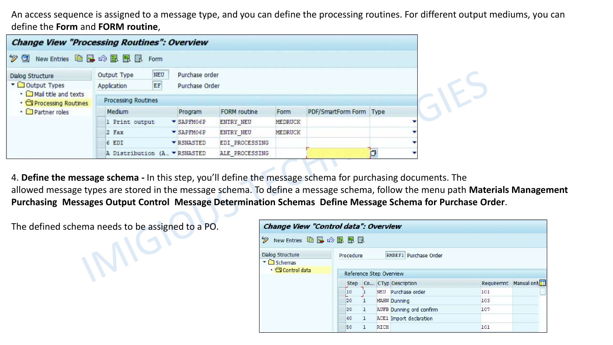An access sequence is assigned to a message type, and you can define the processing routines. For different output mediums, you can define the **Form** and **FORM routine**,

| <b>Change View "Processing Routines": Overview</b>        |                                         |                                  |                     |         |                         |  |
|-----------------------------------------------------------|-----------------------------------------|----------------------------------|---------------------|---------|-------------------------|--|
| $\mathscr{D}$ Q                                           | New Entries 自日の目目目 Form                 |                                  |                     |         |                         |  |
| Dialog Structure<br>▼ Output Types                        | NEU<br>Output Type<br>EF<br>Application | Purchase order<br>Purchase Order |                     |         |                         |  |
| • I Mail title and texts<br>• <b>SProcessing Routines</b> | <b>Processing Routines</b>              |                                  |                     |         |                         |  |
| • Partner roles                                           | Medium                                  | Program                          | <b>FORM</b> routine | Form    | PDF/SmartForm Form Type |  |
|                                                           | 1 Print output                          | $\blacktriangledown$ SAPFM06P    | ENTRY NEU           | MEDRUCK |                         |  |
|                                                           | 2 Fax                                   | $\blacktriangledown$ SAPFMO6P    | <b>ENTRY NEU</b>    | MEDRUCK |                         |  |
|                                                           | 6 EDI                                   | <b>EXSNASTED</b>                 | EDI PROCESSING      |         |                         |  |
|                                                           | A Distribution (A. FRSNASTED            |                                  | ALE PROCESSING      |         |                         |  |

4. **Define the message schema -** In this step, you'll define the message schema for purchasing documents. The allowed message types are stored in the message schema. To define a message schema, follow the menu path **Materials Management Purchasing Messages Output Control Message Determination Schemas Define Message Schema for Purchase Order**.

The defined schema needs to be assigned to a PO.

INNO'

| Change View "Control data": Overview                                          |                                 |   |             |                                |            |            |
|-------------------------------------------------------------------------------|---------------------------------|---|-------------|--------------------------------|------------|------------|
| $\mathscr{D}$<br>New Entries <u>自己の昆虫</u>                                     |                                 |   |             |                                |            |            |
| Dialog Structure<br>$\blacksquare$ Schemas<br>$\cdot$ $\bigcirc$ Control data | Procedure                       |   |             | RMBEF1 Purchase Order          |            |            |
|                                                                               | Reference Step Overview<br>Step |   |             | Co CTyp Description            | Requiremnt | Manual onh |
|                                                                               | 10                              |   |             | NEU Purchase order             | 101        |            |
|                                                                               | 20                              |   |             | <b>MAHN Dunning</b>            | 103        |            |
|                                                                               | 30                              | ı |             | AUFB Dunning ord confirm       | 107        |            |
|                                                                               | 40                              |   |             | <b>ACE1</b> Import declaration |            |            |
|                                                                               | 50                              |   | <b>RICH</b> |                                | 101        |            |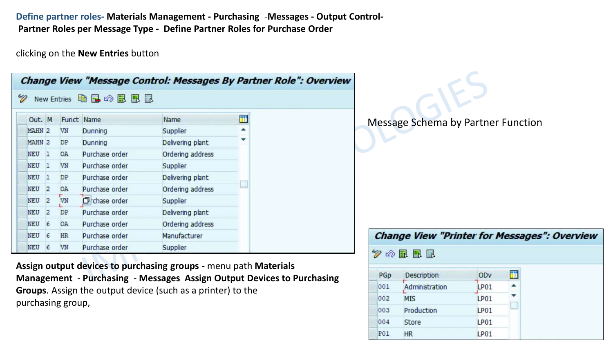**Define partner roles- Materials Management - Purchasing** -**Messages - Output Control-Partner Roles per Message Type - Define Partner Roles for Purchase Order** 

clicking on the **New Entries** button

|            |              |           |                    |                  |   | <b>Change View "Message Control: Messages By Partner Role": Overview</b> |                                                     |
|------------|--------------|-----------|--------------------|------------------|---|--------------------------------------------------------------------------|-----------------------------------------------------|
| V          |              |           | New Entries 中国の昆風国 |                  |   |                                                                          |                                                     |
| Out. M     |              |           | Funct Name         | Name             | 謂 |                                                                          | Message Schema by Partner Function                  |
| MAHN 2     |              | VN        | Dunning            | Supplier         |   |                                                                          |                                                     |
| MAHN 2     |              | DP        | Dunning            | Delivering plant |   |                                                                          |                                                     |
| NEU        |              | OA        | Purchase order     | Ordering address |   |                                                                          |                                                     |
| <b>NEU</b> |              | VN        | Purchase order     | Supplier         |   |                                                                          |                                                     |
| NEU        | -1           | DP        | Purchase order     | Delivering plant |   |                                                                          |                                                     |
| <b>NEU</b> | $\mathbf{2}$ | <b>OA</b> | Purchase order     | Ordering address |   |                                                                          |                                                     |
| NEU 2      |              | VN        | Trchase order      | Supplier         |   |                                                                          |                                                     |
| <b>NEU</b> | 2            | DP        | Purchase order     | Delivering plant |   |                                                                          |                                                     |
| NEU        | 6            | OA        | Purchase order     | Ordering address |   |                                                                          |                                                     |
| NEU        | 16           | <b>HR</b> | Purchase order     | Manufacturer     |   |                                                                          | <b>Change View "Printer for Messages": Overview</b> |
| NEU 6      |              | VN        | Purchase order     | Supplier         |   |                                                                          | $\mathscr{D} \otimes \mathbb{R}$ Ref                |

PGp

001

002

003

004

**P01** 

Description

Production

**MIS** 

Store

HR

Administration

Ħ

×

ODv

LP01

LP01

LP01

LP01

LP01

**Assign output devices to purchasing groups -** menu path **Materials Management** - **Purchasing** - **Messages Assign Output Devices to Purchasing Groups**. Assign the output device (such as a printer) to the purchasing group,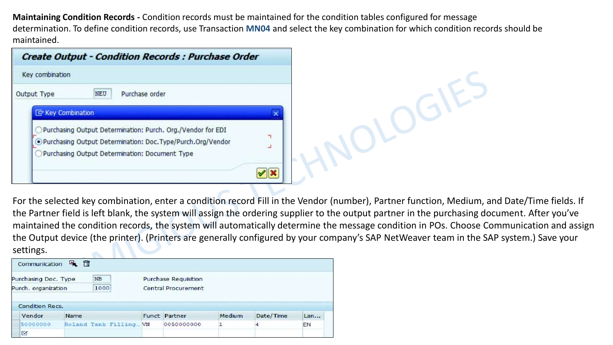**Maintaining Condition Records -** Condition records must be maintained for the condition tables configured for message determination. To define condition records, use Transaction **MN04** and select the key combination for which condition records should be maintained.

| <b>Create Output - Condition Records : Purchase Order</b>        |  |
|------------------------------------------------------------------|--|
| Key combination                                                  |  |
| Purchase order<br>NEU<br>Output Type                             |  |
| E Key Combination                                                |  |
| Purchasing Output Determination: Purch. Org./Vendor for EDI<br>÷ |  |
| . Purchasing Output Determination: Doc. Type/Purch.Org/Vendor    |  |
| Purchasing Output Determination: Document Type                   |  |
|                                                                  |  |

For the selected key combination, enter a condition record Fill in the Vendor (number), Partner function, Medium, and Date/Time fields. If the Partner field is left blank, the system will assign the ordering supplier to the output partner in the purchasing document. After you've maintained the condition records, the system will automatically determine the message condition in POs. Choose Communication and assign the Output device (the printer). (Printers are generally configured by your company's SAP NetWeaver team in the SAP system.) Save your settings.

| Purchasing Doc. Type   | <b>NB</b>               | <b>Purchase Requisition</b> |        |           |     |
|------------------------|-------------------------|-----------------------------|--------|-----------|-----|
| Purch. organization    | 1000                    | Central Procurement         |        |           |     |
|                        |                         |                             |        |           |     |
|                        |                         |                             |        |           |     |
| <b>Condition Recs.</b> |                         |                             |        |           |     |
| Vendor                 | Name                    | Funct Partner               | Medium | Date/Time | Lan |
| 50000000               | Roland Tank Filling  VN | 0050000000                  |        |           | EN  |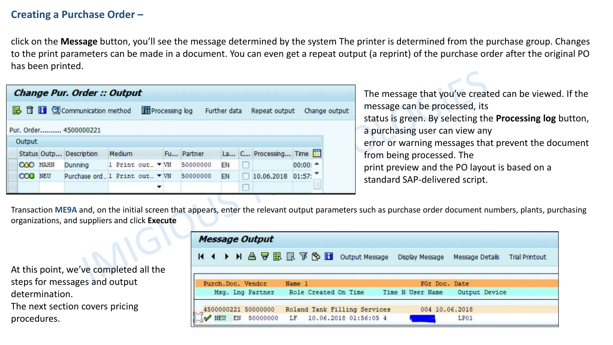#### **Creating a Purchase Order –**

click on the **Message** button, you'll see the message determined by the system The printer is determined from the purchase group. Changes to the print parameters can be made in a document. You can even get a repeat output (a reprint) of the purchase order after the original PO has been printed.

|               |                 | <b>Change Pur. Order:: Output</b>   |                 |                |              |                      |                      |               |
|---------------|-----------------|-------------------------------------|-----------------|----------------|--------------|----------------------|----------------------|---------------|
|               |                 | <b>B</b> □ □ © Communication method |                 | Processing log | Further data | Repeat output        |                      | Change output |
|               |                 | Pur. Order 4500000221               |                 |                |              |                      |                      |               |
| <b>Output</b> |                 |                                     |                 |                |              |                      |                      |               |
|               |                 | Status Outp Description             | Medium          | Fu Partner     |              | La C Processing Time |                      |               |
|               | <b>OAO MAHN</b> | Dunning                             | 1 Print out. VN | 50000000       | EN           |                      | $00:00:$ $\triangle$ |               |
|               | <b>CCO</b> NEU  | Purchase ord 1 Print out  ▼ VN      |                 | 50000000       | EN           | 10.06.2018 01:57:    |                      |               |
|               |                 |                                     |                 |                |              |                      |                      |               |

The message that you've created can be viewed. If the message can be processed, its status is green. By selecting the **Processing log** button, a purchasing user can view any error or warning messages that prevent the document from being processed. The print preview and the PO layout is based on a standard SAP-delivered script.

Transaction **ME9A** and, on the initial screen that appears, enter the relevant output parameters such as purchase order document numbers, plants, purchasing organizations, and suppliers and click **Execute** 

At this point, we've completed all the steps for messages and output determination.

The next section covers pricing procedures.

| <b>Message Output</b>           |                                                                               |
|---------------------------------|-------------------------------------------------------------------------------|
| <b>N 4 &gt; N A FER B F G H</b> | Output Message<br>Display Message<br>Message Details<br><b>Trial Printout</b> |
| Purch.Doc. Vendor               | Name 1<br>PGr Doc. Date                                                       |
| Msg. Lng Partner                | Role Created On Time<br>Output Device<br>Time N User Name                     |
| 4500000221 50000000             | 004 10.06.2018<br>Roland Tank Filling Services                                |
|                                 | WEU EN 50000000 LF 10.06.2018 01:56:05 4<br>LP01                              |